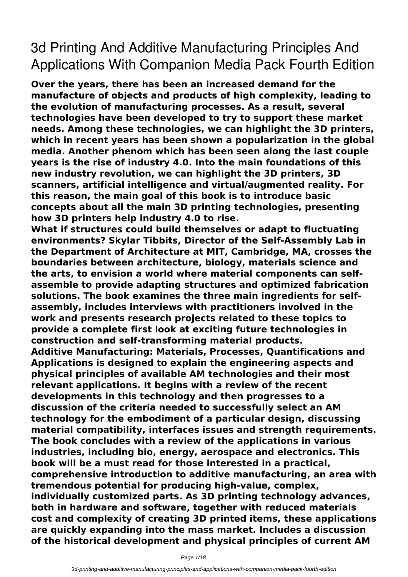## **3d Printing And Additive Manufacturing Principles And Applications With Companion Media Pack Fourth Edition**

**Over the years, there has been an increased demand for the manufacture of objects and products of high complexity, leading to the evolution of manufacturing processes. As a result, several technologies have been developed to try to support these market needs. Among these technologies, we can highlight the 3D printers, which in recent years has been shown a popularization in the global media. Another phenom which has been seen along the last couple years is the rise of industry 4.0. Into the main foundations of this new industry revolution, we can highlight the 3D printers, 3D scanners, artificial intelligence and virtual/augmented reality. For this reason, the main goal of this book is to introduce basic concepts about all the main 3D printing technologies, presenting how 3D printers help industry 4.0 to rise.**

**What if structures could build themselves or adapt to fluctuating environments? Skylar Tibbits, Director of the Self-Assembly Lab in the Department of Architecture at MIT, Cambridge, MA, crosses the boundaries between architecture, biology, materials science and the arts, to envision a world where material components can selfassemble to provide adapting structures and optimized fabrication solutions. The book examines the three main ingredients for selfassembly, includes interviews with practitioners involved in the work and presents research projects related to these topics to provide a complete first look at exciting future technologies in construction and self-transforming material products.**

**Additive Manufacturing: Materials, Processes, Quantifications and Applications is designed to explain the engineering aspects and physical principles of available AM technologies and their most relevant applications. It begins with a review of the recent developments in this technology and then progresses to a discussion of the criteria needed to successfully select an AM technology for the embodiment of a particular design, discussing material compatibility, interfaces issues and strength requirements. The book concludes with a review of the applications in various industries, including bio, energy, aerospace and electronics. This book will be a must read for those interested in a practical, comprehensive introduction to additive manufacturing, an area with tremendous potential for producing high-value, complex, individually customized parts. As 3D printing technology advances, both in hardware and software, together with reduced materials cost and complexity of creating 3D printed items, these applications are quickly expanding into the mass market. Includes a discussion of the historical development and physical principles of current AM**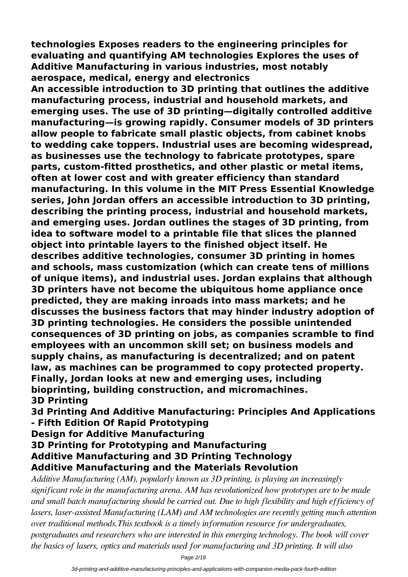**technologies Exposes readers to the engineering principles for evaluating and quantifying AM technologies Explores the uses of Additive Manufacturing in various industries, most notably aerospace, medical, energy and electronics**

**An accessible introduction to 3D printing that outlines the additive manufacturing process, industrial and household markets, and emerging uses. The use of 3D printing—digitally controlled additive manufacturing—is growing rapidly. Consumer models of 3D printers allow people to fabricate small plastic objects, from cabinet knobs to wedding cake toppers. Industrial uses are becoming widespread, as businesses use the technology to fabricate prototypes, spare parts, custom-fitted prosthetics, and other plastic or metal items, often at lower cost and with greater efficiency than standard manufacturing. In this volume in the MIT Press Essential Knowledge series, John Jordan offers an accessible introduction to 3D printing, describing the printing process, industrial and household markets, and emerging uses. Jordan outlines the stages of 3D printing, from idea to software model to a printable file that slices the planned object into printable layers to the finished object itself. He describes additive technologies, consumer 3D printing in homes and schools, mass customization (which can create tens of millions of unique items), and industrial uses. Jordan explains that although 3D printers have not become the ubiquitous home appliance once predicted, they are making inroads into mass markets; and he discusses the business factors that may hinder industry adoption of 3D printing technologies. He considers the possible unintended consequences of 3D printing on jobs, as companies scramble to find employees with an uncommon skill set; on business models and supply chains, as manufacturing is decentralized; and on patent law, as machines can be programmed to copy protected property. Finally, Jordan looks at new and emerging uses, including bioprinting, building construction, and micromachines. 3D Printing**

**3d Printing And Additive Manufacturing: Principles And Applications - Fifth Edition Of Rapid Prototyping**

**Design for Additive Manufacturing**

**3D Printing for Prototyping and Manufacturing Additive Manufacturing and 3D Printing Technology Additive Manufacturing and the Materials Revolution**

*Additive Manufacturing (AM), popularly known as 3D printing, is playing an increasingly significant role in the manufacturing arena. AM has revolutionized how prototypes are to be made and small batch manufacturing should be carried out. Due to high flexibility and high efficiency of lasers, laser-assisted Manufacturing (LAM) and AM technologies are recently getting much attention over traditional methods.This textbook is a timely information resource for undergraduates, postgraduates and researchers who are interested in this emerging technology. The book will cover the basics of lasers, optics and materials used for manufacturing and 3D printing. It will also*

Page 2/18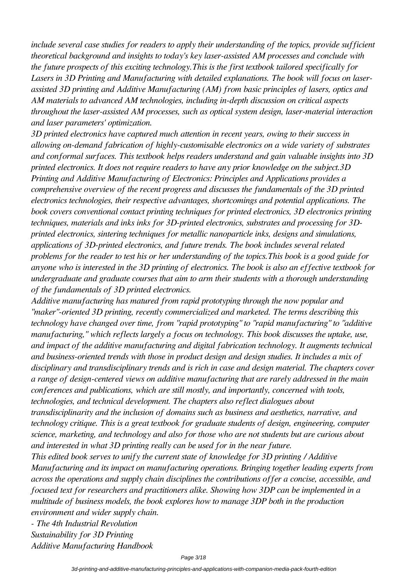*include several case studies for readers to apply their understanding of the topics, provide sufficient theoretical background and insights to today's key laser-assisted AM processes and conclude with the future prospects of this exciting technology.This is the first textbook tailored specifically for Lasers in 3D Printing and Manufacturing with detailed explanations. The book will focus on laserassisted 3D printing and Additive Manufacturing (AM) from basic principles of lasers, optics and AM materials to advanced AM technologies, including in-depth discussion on critical aspects throughout the laser-assisted AM processes, such as optical system design, laser-material interaction and laser parameters' optimization.*

*3D printed electronics have captured much attention in recent years, owing to their success in allowing on-demand fabrication of highly-customisable electronics on a wide variety of substrates and conformal surfaces. This textbook helps readers understand and gain valuable insights into 3D printed electronics. It does not require readers to have any prior knowledge on the subject.3D Printing and Additive Manufacturing of Electronics: Principles and Applications provides a comprehensive overview of the recent progress and discusses the fundamentals of the 3D printed electronics technologies, their respective advantages, shortcomings and potential applications. The book covers conventional contact printing techniques for printed electronics, 3D electronics printing techniques, materials and inks inks for 3D-printed electronics, substrates and processing for 3Dprinted electronics, sintering techniques for metallic nanoparticle inks, designs and simulations, applications of 3D-printed electronics, and future trends. The book includes several related problems for the reader to test his or her understanding of the topics.This book is a good guide for anyone who is interested in the 3D printing of electronics. The book is also an effective textbook for undergraduate and graduate courses that aim to arm their students with a thorough understanding of the fundamentals of 3D printed electronics.*

*Additive manufacturing has matured from rapid prototyping through the now popular and "maker"-oriented 3D printing, recently commercialized and marketed. The terms describing this technology have changed over time, from "rapid prototyping" to "rapid manufacturing" to "additive manufacturing," which reflects largely a focus on technology. This book discusses the uptake, use, and impact of the additive manufacturing and digital fabrication technology. It augments technical and business-oriented trends with those in product design and design studies. It includes a mix of disciplinary and transdisciplinary trends and is rich in case and design material. The chapters cover a range of design-centered views on additive manufacturing that are rarely addressed in the main conferences and publications, which are still mostly, and importantly, concerned with tools, technologies, and technical development. The chapters also reflect dialogues about transdisciplinarity and the inclusion of domains such as business and aesthetics, narrative, and technology critique. This is a great textbook for graduate students of design, engineering, computer science, marketing, and technology and also for those who are not students but are curious about and interested in what 3D printing really can be used for in the near future.*

*This edited book serves to unify the current state of knowledge for 3D printing / Additive Manufacturing and its impact on manufacturing operations. Bringing together leading experts from across the operations and supply chain disciplines the contributions offer a concise, accessible, and focused text for researchers and practitioners alike. Showing how 3DP can be implemented in a multitude of business models, the book explores how to manage 3DP both in the production environment and wider supply chain.*

*- The 4th Industrial Revolution Sustainability for 3D Printing Additive Manufacturing Handbook*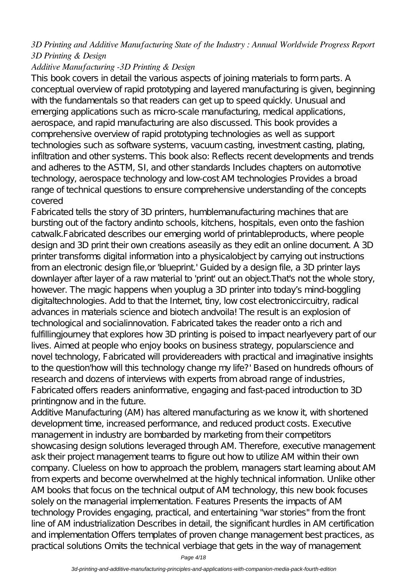## *3D Printing and Additive Manufacturing State of the Industry : Annual Worldwide Progress Report 3D Printing & Design*

## *Additive Manufacturing -3D Printing & Design*

This book covers in detail the various aspects of joining materials to form parts. A conceptual overview of rapid prototyping and layered manufacturing is given, beginning with the fundamentals so that readers can get up to speed quickly. Unusual and emerging applications such as micro-scale manufacturing, medical applications, aerospace, and rapid manufacturing are also discussed. This book provides a comprehensive overview of rapid prototyping technologies as well as support technologies such as software systems, vacuum casting, investment casting, plating, infiltration and other systems. This book also: Reflects recent developments and trends and adheres to the ASTM, SI, and other standards Includes chapters on automotive technology, aerospace technology and low-cost AM technologies Provides a broad range of technical questions to ensure comprehensive understanding of the concepts covered

Fabricated tells the story of 3D printers, humblemanufacturing machines that are bursting out of the factory andinto schools, kitchens, hospitals, even onto the fashion catwalk.Fabricated describes our emerging world of printableproducts, where people design and 3D print their own creations aseasily as they edit an online document. A 3D printer transforms digital information into a physicalobject by carrying out instructions from an electronic design file, or 'blueprint' Guided by a design file, a 3D printer lays downlayer after layer of a raw material to 'print' out an object. That's not the whole story, however. The magic happens when youplug a 3D printer into today's mind-boggling digitaltechnologies. Add to that the Internet, tiny, low cost electroniccircuitry, radical advances in materials science and biotech andvoila! The result is an explosion of technological and socialinnovation. Fabricated takes the reader onto a rich and fulfillingjourney that explores how 3D printing is poised to impact nearlyevery part of our lives. Aimed at people who enjoy books on business strategy, popularscience and novel technology, Fabricated will providereaders with practical and imaginative insights to the question'how will this technology change my life?' Based on hundreds ofhours of research and dozens of interviews with experts from abroad range of industries, Fabricated offers readers aninformative, engaging and fast-paced introduction to 3D printingnow and in the future.

Additive Manufacturing (AM) has altered manufacturing as we know it, with shortened development time, increased performance, and reduced product costs. Executive management in industry are bombarded by marketing from their competitors showcasing design solutions leveraged through AM. Therefore, executive management ask their project management teams to figure out how to utilize AM within their own company. Clueless on how to approach the problem, managers start learning about AM from experts and become overwhelmed at the highly technical information. Unlike other AM books that focus on the technical output of AM technology, this new book focuses solely on the managerial implementation. Features Presents the impacts of AM technology Provides engaging, practical, and entertaining "war stories" from the front line of AM industrialization Describes in detail, the significant hurdles in AM certification and implementation Offers templates of proven change management best practices, as practical solutions Omits the technical verbiage that gets in the way of management

Page 4/18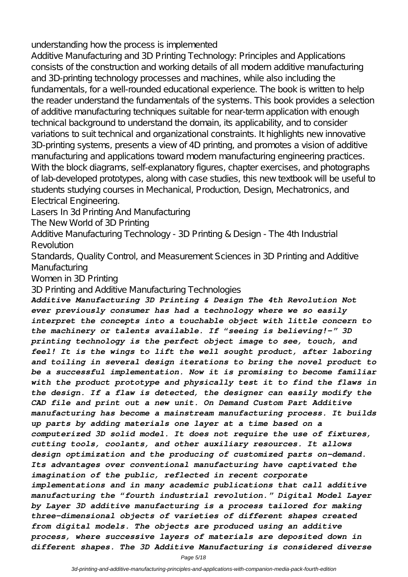understanding how the process is implemented

Additive Manufacturing and 3D Printing Technology: Principles and Applications consists of the construction and working details of all modern additive manufacturing and 3D-printing technology processes and machines, while also including the fundamentals, for a well-rounded educational experience. The book is written to help the reader understand the fundamentals of the systems. This book provides a selection of additive manufacturing techniques suitable for near-term application with enough technical background to understand the domain, its applicability, and to consider variations to suit technical and organizational constraints. It highlights new innovative 3D-printing systems, presents a view of 4D printing, and promotes a vision of additive manufacturing and applications toward modern manufacturing engineering practices. With the block diagrams, self-explanatory figures, chapter exercises, and photographs of lab-developed prototypes, along with case studies, this new textbook will be useful to students studying courses in Mechanical, Production, Design, Mechatronics, and Electrical Engineering.

Lasers In 3d Printing And Manufacturing

The New World of 3D Printing

Additive Manufacturing Technology - 3D Printing & Design - The 4th Industrial Revolution

Standards, Quality Control, and Measurement Sciences in 3D Printing and Additive Manufacturing

Women in 3D Printing

3D Printing and Additive Manufacturing Technologies

*Additive Manufacturing 3D Printing & Design The 4th Revolution Not ever previously consumer has had a technology where we so easily interpret the concepts into a touchable object with little concern to the machinery or talents available. If "seeing is believing!-" 3D printing technology is the perfect object image to see, touch, and feel! It is the wings to lift the well sought product, after laboring and toiling in several design iterations to bring the novel product to be a successful implementation. Now it is promising to become familiar with the product prototype and physically test it to find the flaws in the design. If a flaw is detected, the designer can easily modify the CAD file and print out a new unit. On Demand Custom Part Additive manufacturing has become a mainstream manufacturing process. It builds up parts by adding materials one layer at a time based on a computerized 3D solid model. It does not require the use of fixtures, cutting tools, coolants, and other auxiliary resources. It allows design optimization and the producing of customized parts on-demand. Its advantages over conventional manufacturing have captivated the imagination of the public, reflected in recent corporate implementations and in many academic publications that call additive manufacturing the "fourth industrial revolution." Digital Model Layer by Layer 3D additive manufacturing is a process tailored for making three-dimensional objects of varieties of different shapes created from digital models. The objects are produced using an additive process, where successive layers of materials are deposited down in different shapes. The 3D Additive Manufacturing is considered diverse*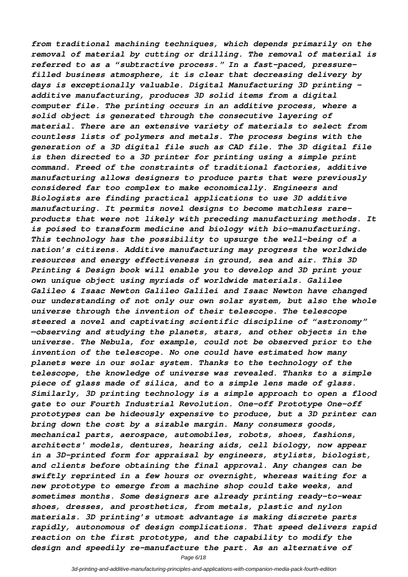*from traditional machining techniques, which depends primarily on the removal of material by cutting or drilling. The removal of material is referred to as a "subtractive process." In a fast-paced, pressurefilled business atmosphere, it is clear that decreasing delivery by days is exceptionally valuable. Digital Manufacturing 3D printing additive manufacturing, produces 3D solid items from a digital computer file. The printing occurs in an additive process, where a solid object is generated through the consecutive layering of material. There are an extensive variety of materials to select from countless lists of polymers and metals. The process begins with the generation of a 3D digital file such as CAD file. The 3D digital file is then directed to a 3D printer for printing using a simple print command. Freed of the constraints of traditional factories, additive manufacturing allows designers to produce parts that were previously considered far too complex to make economically. Engineers and Biologists are finding practical applications to use 3D additive manufacturing. It permits novel designs to become matchless rareproducts that were not likely with preceding manufacturing methods. It is poised to transform medicine and biology with bio-manufacturing. This technology has the possibility to upsurge the well-being of a nation's citizens. Additive manufacturing may progress the worldwide resources and energy effectiveness in ground, sea and air. This 3D Printing & Design book will enable you to develop and 3D print your own unique object using myriads of worldwide materials. Galilee Galileo & Isaac Newton Galileo Galilei and Isaac Newton have changed our understanding of not only our own solar system, but also the whole universe through the invention of their telescope. The telescope steered a novel and captivating scientific discipline of "astronomy" —observing and studying the planets, stars, and other objects in the universe. The Nebula, for example, could not be observed prior to the invention of the telescope. No one could have estimated how many planets were in our solar system. Thanks to the technology of the telescope, the knowledge of universe was revealed. Thanks to a simple piece of glass made of silica, and to a simple lens made of glass. Similarly, 3D printing technology is a simple approach to open a flood gate to our Fourth Industrial Revolution. One-off Prototype One-off prototypes can be hideously expensive to produce, but a 3D printer can bring down the cost by a sizable margin. Many consumers goods, mechanical parts, aerospace, automobiles, robots, shoes, fashions, architects' models, dentures, hearing aids, cell biology, now appear in a 3D-printed form for appraisal by engineers, stylists, biologist, and clients before obtaining the final approval. Any changes can be swiftly reprinted in a few hours or overnight, whereas waiting for a new prototype to emerge from a machine shop could take weeks, and sometimes months. Some designers are already printing ready-to-wear shoes, dresses, and prosthetics, from metals, plastic and nylon materials. 3D printing's utmost advantage is making discrete parts rapidly, autonomous of design complications. That speed delivers rapid reaction on the first prototype, and the capability to modify the design and speedily re-manufacture the part. As an alternative of*

Page 6/18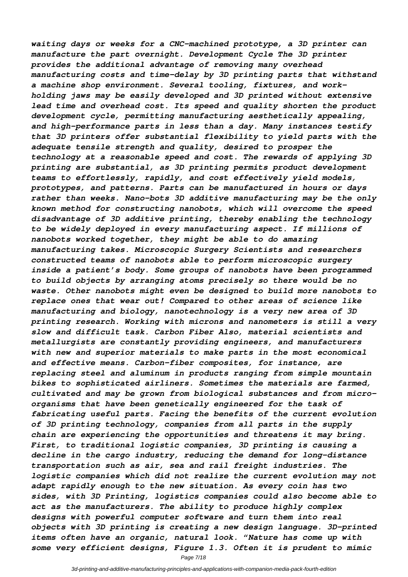*waiting days or weeks for a CNC-machined prototype, a 3D printer can manufacture the part overnight. Development Cycle The 3D printer provides the additional advantage of removing many overhead manufacturing costs and time-delay by 3D printing parts that withstand a machine shop environment. Several tooling, fixtures, and workholding jaws may be easily developed and 3D printed without extensive lead time and overhead cost. Its speed and quality shorten the product development cycle, permitting manufacturing aesthetically appealing, and high-performance parts in less than a day. Many instances testify that 3D printers offer substantial flexibility to yield parts with the adequate tensile strength and quality, desired to prosper the technology at a reasonable speed and cost. The rewards of applying 3D printing are substantial, as 3D printing permits product development teams to effortlessly, rapidly, and cost effectively yield models, prototypes, and patterns. Parts can be manufactured in hours or days rather than weeks. Nano-bots 3D additive manufacturing may be the only known method for constructing nanobots, which will overcome the speed disadvantage of 3D additive printing, thereby enabling the technology to be widely deployed in every manufacturing aspect. If millions of nanobots worked together, they might be able to do amazing manufacturing takes. Microscopic Surgery Scientists and researchers constructed teams of nanobots able to perform microscopic surgery inside a patient's body. Some groups of nanobots have been programmed to build objects by arranging atoms precisely so there would be no waste. Other nanobots might even be designed to build more nanobots to replace ones that wear out! Compared to other areas of science like manufacturing and biology, nanotechnology is a very new area of 3D printing research. Working with microns and nanometers is still a very slow and difficult task. Carbon Fiber Also, material scientists and metallurgists are constantly providing engineers, and manufacturers with new and superior materials to make parts in the most economical and effective means. Carbon-fiber composites, for instance, are replacing steel and aluminum in products ranging from simple mountain bikes to sophisticated airliners. Sometimes the materials are farmed, cultivated and may be grown from biological substances and from microorganisms that have been genetically engineered for the task of fabricating useful parts. Facing the benefits of the current evolution of 3D printing technology, companies from all parts in the supply chain are experiencing the opportunities and threatens it may bring. First, to traditional logistic companies, 3D printing is causing a decline in the cargo industry, reducing the demand for long-distance transportation such as air, sea and rail freight industries. The logistic companies which did not realize the current evolution may not adapt rapidly enough to the new situation. As every coin has two sides, with 3D Printing, logistics companies could also become able to act as the manufacturers. The ability to produce highly complex designs with powerful computer software and turn them into real objects with 3D printing is creating a new design language. 3D-printed items often have an organic, natural look. "Nature has come up with some very efficient designs, Figure 1.3. Often it is prudent to mimic*

Page 7/18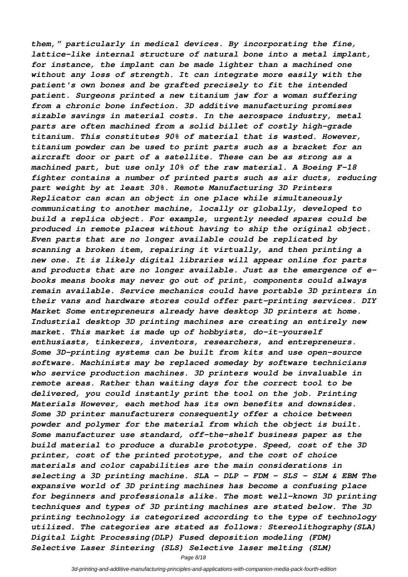*them," particularly in medical devices. By incorporating the fine, lattice-like internal structure of natural bone into a metal implant, for instance, the implant can be made lighter than a machined one without any loss of strength. It can integrate more easily with the patient's own bones and be grafted precisely to fit the intended patient. Surgeons printed a new titanium jaw for a woman suffering from a chronic bone infection. 3D additive manufacturing promises sizable savings in material costs. In the aerospace industry, metal parts are often machined from a solid billet of costly high-grade titanium. This constitutes 90% of material that is wasted. However, titanium powder can be used to print parts such as a bracket for an aircraft door or part of a satellite. These can be as strong as a machined part, but use only 10% of the raw material. A Boeing F-18 fighter contains a number of printed parts such as air ducts, reducing part weight by at least 30%. Remote Manufacturing 3D Printers Replicator can scan an object in one place while simultaneously communicating to another machine, locally or globally, developed to build a replica object. For example, urgently needed spares could be produced in remote places without having to ship the original object. Even parts that are no longer available could be replicated by scanning a broken item, repairing it virtually, and then printing a new one. It is likely digital libraries will appear online for parts and products that are no longer available. Just as the emergence of ebooks means books may never go out of print, components could always remain available. Service mechanics could have portable 3D printers in their vans and hardware stores could offer part-printing services. DIY Market Some entrepreneurs already have desktop 3D printers at home. Industrial desktop 3D printing machines are creating an entirely new market. This market is made up of hobbyists, do-it-yourself enthusiasts, tinkerers, inventors, researchers, and entrepreneurs. Some 3D-printing systems can be built from kits and use open-source software. Machinists may be replaced someday by software technicians who service production machines. 3D printers would be invaluable in remote areas. Rather than waiting days for the correct tool to be delivered, you could instantly print the tool on the job. Printing Materials However, each method has its own benefits and downsides. Some 3D printer manufacturers consequently offer a choice between powder and polymer for the material from which the object is built. Some manufacturer use standard, off-the-shelf business paper as the build material to produce a durable prototype. Speed, cost of the 3D printer, cost of the printed prototype, and the cost of choice materials and color capabilities are the main considerations in selecting a 3D printing machine. SLA – DLP - FDM – SLS - SLM & EBM The expansive world of 3D printing machines has become a confusing place for beginners and professionals alike. The most well-known 3D printing techniques and types of 3D printing machines are stated below. The 3D printing technology is categorized according to the type of technology utilized. The categories are stated as follows: Stereolithography(SLA) Digital Light Processing(DLP) Fused deposition modeling (FDM) Selective Laser Sintering (SLS) Selective laser melting (SLM)*

Page 8/18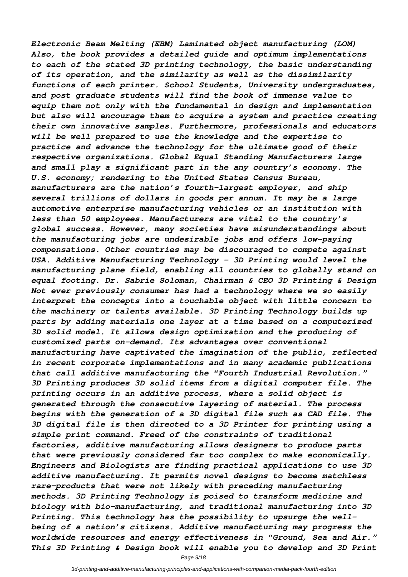*Electronic Beam Melting (EBM) Laminated object manufacturing (LOM) Also, the book provides a detailed guide and optimum implementations to each of the stated 3D printing technology, the basic understanding of its operation, and the similarity as well as the dissimilarity functions of each printer. School Students, University undergraduates, and post graduate students will find the book of immense value to equip them not only with the fundamental in design and implementation but also will encourage them to acquire a system and practice creating their own innovative samples. Furthermore, professionals and educators will be well prepared to use the knowledge and the expertise to practice and advance the technology for the ultimate good of their respective organizations. Global Equal Standing Manufacturers large and small play a significant part in the any country's economy. The U.S. economy; rendering to the United States Census Bureau, manufacturers are the nation's fourth-largest employer, and ship several trillions of dollars in goods per annum. It may be a large automotive enterprise manufacturing vehicles or an institution with less than 50 employees. Manufacturers are vital to the country's global success. However, many societies have misunderstandings about the manufacturing jobs are undesirable jobs and offers low-paying compensations. Other countries may be discouraged to compete against USA. Additive Manufacturing Technology – 3D Printing would level the manufacturing plane field, enabling all countries to globally stand on equal footing. Dr. Sabrie Soloman, Chairman & CEO 3D Printing & Design Not ever previously consumer has had a technology where we so easily interpret the concepts into a touchable object with little concern to the machinery or talents available. 3D Printing Technology builds up parts by adding materials one layer at a time based on a computerized 3D solid model. It allows design optimization and the producing of customized parts on-demand. Its advantages over conventional manufacturing have captivated the imagination of the public, reflected in recent corporate implementations and in many academic publications that call additive manufacturing the "Fourth Industrial Revolution." 3D Printing produces 3D solid items from a digital computer file. The printing occurs in an additive process, where a solid object is generated through the consecutive layering of material. The process begins with the generation of a 3D digital file such as CAD file. The 3D digital file is then directed to a 3D Printer for printing using a simple print command. Freed of the constraints of traditional factories, additive manufacturing allows designers to produce parts that were previously considered far too complex to make economically. Engineers and Biologists are finding practical applications to use 3D additive manufacturing. It permits novel designs to become matchless rare-products that were not likely with preceding manufacturing methods. 3D Printing Technology is poised to transform medicine and biology with bio-manufacturing, and traditional manufacturing into 3D Printing. This technology has the possibility to upsurge the wellbeing of a nation's citizens. Additive manufacturing may progress the worldwide resources and energy effectiveness in "Ground, Sea and Air." This 3D Printing & Design book will enable you to develop and 3D Print*

Page 9/18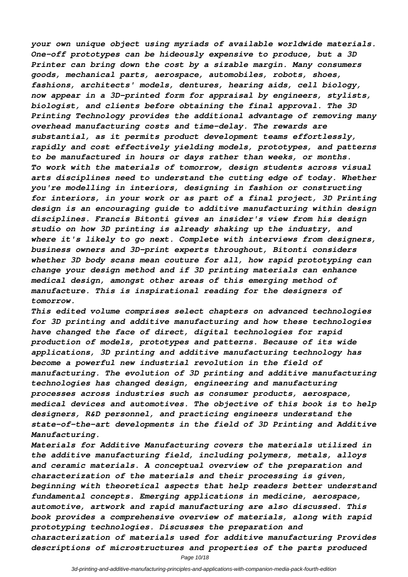*your own unique object using myriads of available worldwide materials. One-off prototypes can be hideously expensive to produce, but a 3D Printer can bring down the cost by a sizable margin. Many consumers goods, mechanical parts, aerospace, automobiles, robots, shoes, fashions, architects' models, dentures, hearing aids, cell biology, now appear in a 3D-printed form for appraisal by engineers, stylists, biologist, and clients before obtaining the final approval. The 3D Printing Technology provides the additional advantage of removing many overhead manufacturing costs and time-delay. The rewards are substantial, as it permits product development teams effortlessly, rapidly and cost effectively yielding models, prototypes, and patterns to be manufactured in hours or days rather than weeks, or months. To work with the materials of tomorrow, design students across visual arts disciplines need to understand the cutting edge of today. Whether you're modelling in interiors, designing in fashion or constructing for interiors, in your work or as part of a final project, 3D Printing design is an encouraging guide to additive manufacturing within design disciplines. Francis Bitonti gives an insider's view from his design studio on how 3D printing is already shaking up the industry, and where it's likely to go next. Complete with interviews from designers, business owners and 3D-print experts throughout, Bitonti considers whether 3D body scans mean couture for all, how rapid prototyping can change your design method and if 3D printing materials can enhance medical design, amongst other areas of this emerging method of manufacture. This is inspirational reading for the designers of tomorrow.*

*This edited volume comprises select chapters on advanced technologies for 3D printing and additive manufacturing and how these technologies have changed the face of direct, digital technologies for rapid production of models, prototypes and patterns. Because of its wide applications, 3D printing and additive manufacturing technology has become a powerful new industrial revolution in the field of manufacturing. The evolution of 3D printing and additive manufacturing technologies has changed design, engineering and manufacturing processes across industries such as consumer products, aerospace, medical devices and automotives. The objective of this book is to help designers, R&D personnel, and practicing engineers understand the state-of-the-art developments in the field of 3D Printing and Additive Manufacturing.*

*Materials for Additive Manufacturing covers the materials utilized in the additive manufacturing field, including polymers, metals, alloys and ceramic materials. A conceptual overview of the preparation and characterization of the materials and their processing is given, beginning with theoretical aspects that help readers better understand fundamental concepts. Emerging applications in medicine, aerospace, automotive, artwork and rapid manufacturing are also discussed. This book provides a comprehensive overview of materials, along with rapid prototyping technologies. Discusses the preparation and characterization of materials used for additive manufacturing Provides descriptions of microstructures and properties of the parts produced*

Page 10/18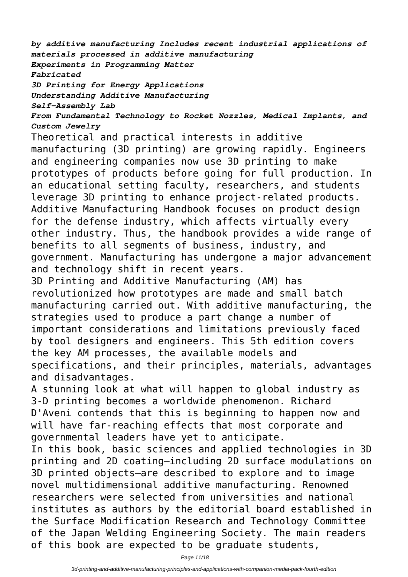*by additive manufacturing Includes recent industrial applications of materials processed in additive manufacturing Experiments in Programming Matter Fabricated 3D Printing for Energy Applications Understanding Additive Manufacturing*

*Self-Assembly Lab*

*From Fundamental Technology to Rocket Nozzles, Medical Implants, and Custom Jewelry*

Theoretical and practical interests in additive manufacturing (3D printing) are growing rapidly. Engineers and engineering companies now use 3D printing to make prototypes of products before going for full production. In an educational setting faculty, researchers, and students leverage 3D printing to enhance project-related products. Additive Manufacturing Handbook focuses on product design for the defense industry, which affects virtually every other industry. Thus, the handbook provides a wide range of benefits to all segments of business, industry, and government. Manufacturing has undergone a major advancement and technology shift in recent years.

3D Printing and Additive Manufacturing (AM) has revolutionized how prototypes are made and small batch manufacturing carried out. With additive manufacturing, the strategies used to produce a part change a number of important considerations and limitations previously faced by tool designers and engineers. This 5th edition covers the key AM processes, the available models and specifications, and their principles, materials, advantages and disadvantages.

A stunning look at what will happen to global industry as 3-D printing becomes a worldwide phenomenon. Richard D'Aveni contends that this is beginning to happen now and will have far-reaching effects that most corporate and governmental leaders have yet to anticipate.

In this book, basic sciences and applied technologies in 3D printing and 2D coating—including 2D surface modulations on 3D printed objects—are described to explore and to image novel multidimensional additive manufacturing. Renowned researchers were selected from universities and national institutes as authors by the editorial board established in the Surface Modification Research and Technology Committee of the Japan Welding Engineering Society. The main readers of this book are expected to be graduate students,

Page 11/18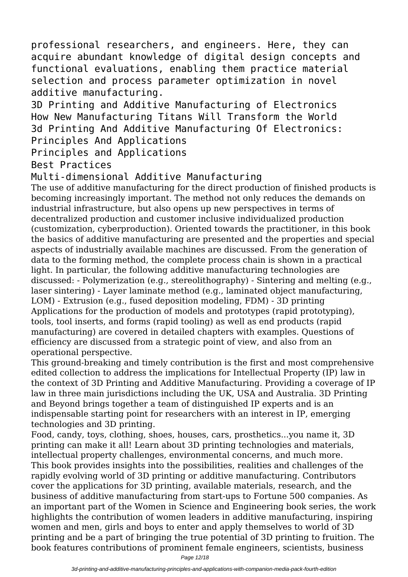professional researchers, and engineers. Here, they can acquire abundant knowledge of digital design concepts and functional evaluations, enabling them practice material selection and process parameter optimization in novel additive manufacturing.

3D Printing and Additive Manufacturing of Electronics How New Manufacturing Titans Will Transform the World 3d Printing And Additive Manufacturing Of Electronics: Principles And Applications

Principles and Applications

Best Practices

## Multi-dimensional Additive Manufacturing

The use of additive manufacturing for the direct production of finished products is becoming increasingly important. The method not only reduces the demands on industrial infrastructure, but also opens up new perspectives in terms of decentralized production and customer inclusive individualized production (customization, cyberproduction). Oriented towards the practitioner, in this book the basics of additive manufacturing are presented and the properties and special aspects of industrially available machines are discussed. From the generation of data to the forming method, the complete process chain is shown in a practical light. In particular, the following additive manufacturing technologies are discussed: - Polymerization (e.g., stereolithography) - Sintering and melting (e.g., laser sintering) - Layer laminate method (e.g., laminated object manufacturing, LOM) - Extrusion (e.g., fused deposition modeling, FDM) - 3D printing Applications for the production of models and prototypes (rapid prototyping), tools, tool inserts, and forms (rapid tooling) as well as end products (rapid manufacturing) are covered in detailed chapters with examples. Questions of efficiency are discussed from a strategic point of view, and also from an operational perspective.

This ground-breaking and timely contribution is the first and most comprehensive edited collection to address the implications for Intellectual Property (IP) law in the context of 3D Printing and Additive Manufacturing. Providing a coverage of IP law in three main jurisdictions including the UK, USA and Australia. 3D Printing and Beyond brings together a team of distinguished IP experts and is an indispensable starting point for researchers with an interest in IP, emerging technologies and 3D printing.

Food, candy, toys, clothing, shoes, houses, cars, prosthetics...you name it, 3D printing can make it all! Learn about 3D printing technologies and materials, intellectual property challenges, environmental concerns, and much more. This book provides insights into the possibilities, realities and challenges of the rapidly evolving world of 3D printing or additive manufacturing. Contributors cover the applications for 3D printing, available materials, research, and the business of additive manufacturing from start-ups to Fortune 500 companies. As an important part of the Women in Science and Engineering book series, the work highlights the contribution of women leaders in additive manufacturing, inspiring women and men, girls and boys to enter and apply themselves to world of 3D printing and be a part of bringing the true potential of 3D printing to fruition. The book features contributions of prominent female engineers, scientists, business

Page 12/18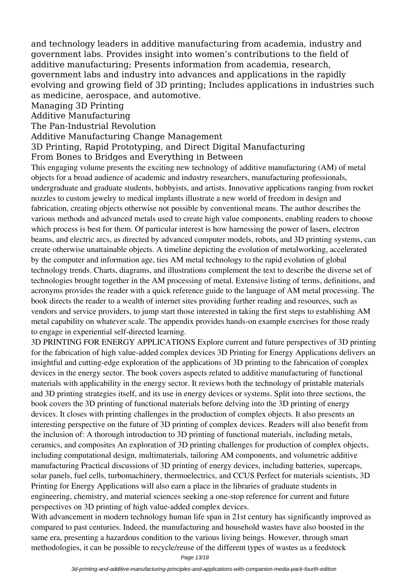and technology leaders in additive manufacturing from academia, industry and government labs. Provides insight into women's contributions to the field of additive manufacturing; Presents information from academia, research, government labs and industry into advances and applications in the rapidly evolving and growing field of 3D printing; Includes applications in industries such as medicine, aerospace, and automotive.

Managing 3D Printing

Additive Manufacturing

The Pan-Industrial Revolution

Additive Manufacturing Change Management

3D Printing, Rapid Prototyping, and Direct Digital Manufacturing

From Bones to Bridges and Everything in Between

This engaging volume presents the exciting new technology of additive manufacturing (AM) of metal objects for a broad audience of academic and industry researchers, manufacturing professionals, undergraduate and graduate students, hobbyists, and artists. Innovative applications ranging from rocket nozzles to custom jewelry to medical implants illustrate a new world of freedom in design and fabrication, creating objects otherwise not possible by conventional means. The author describes the various methods and advanced metals used to create high value components, enabling readers to choose which process is best for them. Of particular interest is how harnessing the power of lasers, electron beams, and electric arcs, as directed by advanced computer models, robots, and 3D printing systems, can create otherwise unattainable objects. A timeline depicting the evolution of metalworking, accelerated by the computer and information age, ties AM metal technology to the rapid evolution of global technology trends. Charts, diagrams, and illustrations complement the text to describe the diverse set of technologies brought together in the AM processing of metal. Extensive listing of terms, definitions, and acronyms provides the reader with a quick reference guide to the language of AM metal processing. The book directs the reader to a wealth of internet sites providing further reading and resources, such as vendors and service providers, to jump start those interested in taking the first steps to establishing AM metal capability on whatever scale. The appendix provides hands-on example exercises for those ready to engage in experiential self-directed learning.

3D PRINTING FOR ENERGY APPLICATIONS Explore current and future perspectives of 3D printing for the fabrication of high value-added complex devices 3D Printing for Energy Applications delivers an insightful and cutting-edge exploration of the applications of 3D printing to the fabrication of complex devices in the energy sector. The book covers aspects related to additive manufacturing of functional materials with applicability in the energy sector. It reviews both the technology of printable materials and 3D printing strategies itself, and its use in energy devices or systems. Split into three sections, the book covers the 3D printing of functional materials before delving into the 3D printing of energy devices. It closes with printing challenges in the production of complex objects. It also presents an interesting perspective on the future of 3D printing of complex devices. Readers will also benefit from the inclusion of: A thorough introduction to 3D printing of functional materials, including metals, ceramics, and composites An exploration of 3D printing challenges for production of complex objects, including computational design, multimaterials, tailoring AM components, and volumetric additive manufacturing Practical discussions of 3D printing of energy devices, including batteries, supercaps, solar panels, fuel cells, turbomachinery, thermoelectrics, and CCUS Perfect for materials scientists, 3D Printing for Energy Applications will also earn a place in the libraries of graduate students in engineering, chemistry, and material sciences seeking a one-stop reference for current and future perspectives on 3D printing of high value-added complex devices.

With advancement in modern technology human life span in 21st century has significantly improved as compared to past centuries. Indeed, the manufacturing and household wastes have also boosted in the same era, presenting a hazardous condition to the various living beings. However, through smart methodologies, it can be possible to recycle/reuse of the different types of wastes as a feedstock

Page 13/18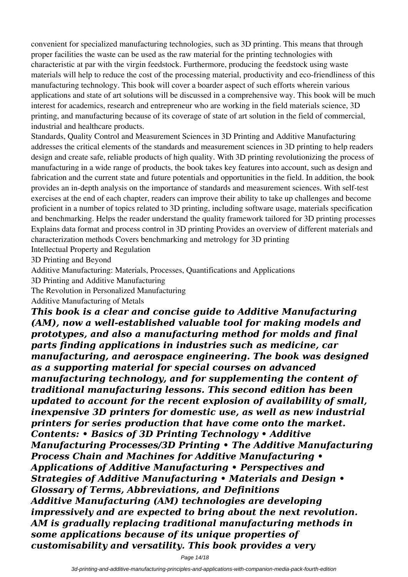convenient for specialized manufacturing technologies, such as 3D printing. This means that through proper facilities the waste can be used as the raw material for the printing technologies with characteristic at par with the virgin feedstock. Furthermore, producing the feedstock using waste materials will help to reduce the cost of the processing material, productivity and eco-friendliness of this manufacturing technology. This book will cover a boarder aspect of such efforts wherein various applications and state of art solutions will be discussed in a comprehensive way. This book will be much interest for academics, research and entrepreneur who are working in the field materials science, 3D printing, and manufacturing because of its coverage of state of art solution in the field of commercial, industrial and healthcare products.

Standards, Quality Control and Measurement Sciences in 3D Printing and Additive Manufacturing addresses the critical elements of the standards and measurement sciences in 3D printing to help readers design and create safe, reliable products of high quality. With 3D printing revolutionizing the process of manufacturing in a wide range of products, the book takes key features into account, such as design and fabrication and the current state and future potentials and opportunities in the field. In addition, the book provides an in-depth analysis on the importance of standards and measurement sciences. With self-test exercises at the end of each chapter, readers can improve their ability to take up challenges and become proficient in a number of topics related to 3D printing, including software usage, materials specification and benchmarking. Helps the reader understand the quality framework tailored for 3D printing processes Explains data format and process control in 3D printing Provides an overview of different materials and characterization methods Covers benchmarking and metrology for 3D printing

Intellectual Property and Regulation

3D Printing and Beyond

Additive Manufacturing: Materials, Processes, Quantifications and Applications

3D Printing and Additive Manufacturing

The Revolution in Personalized Manufacturing

Additive Manufacturing of Metals

*This book is a clear and concise guide to Additive Manufacturing (AM), now a well-established valuable tool for making models and prototypes, and also a manufacturing method for molds and final parts finding applications in industries such as medicine, car manufacturing, and aerospace engineering. The book was designed as a supporting material for special courses on advanced manufacturing technology, and for supplementing the content of traditional manufacturing lessons. This second edition has been updated to account for the recent explosion of availability of small, inexpensive 3D printers for domestic use, as well as new industrial printers for series production that have come onto the market. Contents: • Basics of 3D Printing Technology • Additive Manufacturing Processes/3D Printing • The Additive Manufacturing Process Chain and Machines for Additive Manufacturing • Applications of Additive Manufacturing • Perspectives and Strategies of Additive Manufacturing • Materials and Design • Glossary of Terms, Abbreviations, and Definitions Additive Manufacturing (AM) technologies are developing impressively and are expected to bring about the next revolution. AM is gradually replacing traditional manufacturing methods in some applications because of its unique properties of customisability and versatility. This book provides a very*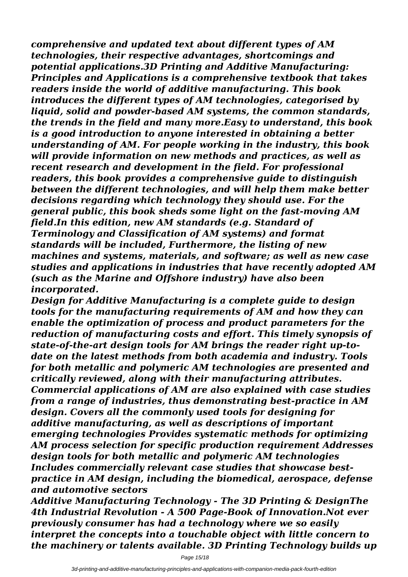*comprehensive and updated text about different types of AM technologies, their respective advantages, shortcomings and potential applications.3D Printing and Additive Manufacturing: Principles and Applications is a comprehensive textbook that takes readers inside the world of additive manufacturing. This book introduces the different types of AM technologies, categorised by liquid, solid and powder-based AM systems, the common standards, the trends in the field and many more.Easy to understand, this book is a good introduction to anyone interested in obtaining a better understanding of AM. For people working in the industry, this book will provide information on new methods and practices, as well as recent research and development in the field. For professional readers, this book provides a comprehensive guide to distinguish between the different technologies, and will help them make better decisions regarding which technology they should use. For the general public, this book sheds some light on the fast-moving AM field.In this edition, new AM standards (e.g. Standard of Terminology and Classification of AM systems) and format standards will be included, Furthermore, the listing of new machines and systems, materials, and software; as well as new case studies and applications in industries that have recently adopted AM (such as the Marine and Offshore industry) have also been incorporated.*

*Design for Additive Manufacturing is a complete guide to design tools for the manufacturing requirements of AM and how they can enable the optimization of process and product parameters for the reduction of manufacturing costs and effort. This timely synopsis of state-of-the-art design tools for AM brings the reader right up-todate on the latest methods from both academia and industry. Tools for both metallic and polymeric AM technologies are presented and critically reviewed, along with their manufacturing attributes. Commercial applications of AM are also explained with case studies from a range of industries, thus demonstrating best-practice in AM design. Covers all the commonly used tools for designing for additive manufacturing, as well as descriptions of important emerging technologies Provides systematic methods for optimizing AM process selection for specific production requirement Addresses design tools for both metallic and polymeric AM technologies Includes commercially relevant case studies that showcase bestpractice in AM design, including the biomedical, aerospace, defense and automotive sectors*

*Additive Manufacturing Technology - The 3D Printing & DesignThe 4th Industrial Revolution - A 500 Page-Book of Innovation.Not ever previously consumer has had a technology where we so easily interpret the concepts into a touchable object with little concern to the machinery or talents available. 3D Printing Technology builds up*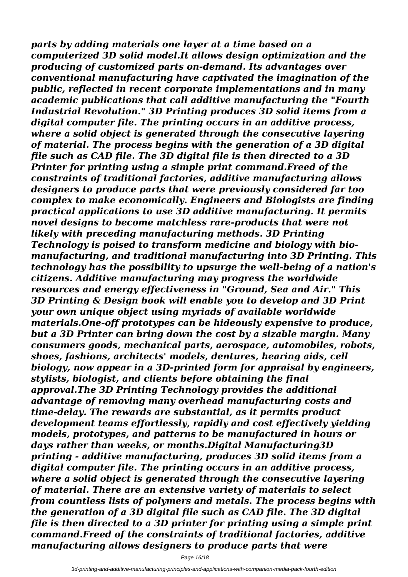*parts by adding materials one layer at a time based on a computerized 3D solid model.It allows design optimization and the producing of customized parts on-demand. Its advantages over conventional manufacturing have captivated the imagination of the public, reflected in recent corporate implementations and in many academic publications that call additive manufacturing the "Fourth Industrial Revolution." 3D Printing produces 3D solid items from a digital computer file. The printing occurs in an additive process, where a solid object is generated through the consecutive layering of material. The process begins with the generation of a 3D digital file such as CAD file. The 3D digital file is then directed to a 3D Printer for printing using a simple print command.Freed of the constraints of traditional factories, additive manufacturing allows designers to produce parts that were previously considered far too complex to make economically. Engineers and Biologists are finding practical applications to use 3D additive manufacturing. It permits novel designs to become matchless rare-products that were not likely with preceding manufacturing methods. 3D Printing Technology is poised to transform medicine and biology with biomanufacturing, and traditional manufacturing into 3D Printing. This technology has the possibility to upsurge the well-being of a nation's citizens. Additive manufacturing may progress the worldwide resources and energy effectiveness in "Ground, Sea and Air." This 3D Printing & Design book will enable you to develop and 3D Print your own unique object using myriads of available worldwide materials.One-off prototypes can be hideously expensive to produce, but a 3D Printer can bring down the cost by a sizable margin. Many consumers goods, mechanical parts, aerospace, automobiles, robots, shoes, fashions, architects' models, dentures, hearing aids, cell biology, now appear in a 3D-printed form for appraisal by engineers, stylists, biologist, and clients before obtaining the final approval.The 3D Printing Technology provides the additional advantage of removing many overhead manufacturing costs and time-delay. The rewards are substantial, as it permits product development teams effortlessly, rapidly and cost effectively yielding models, prototypes, and patterns to be manufactured in hours or days rather than weeks, or months.Digital Manufacturing3D printing - additive manufacturing, produces 3D solid items from a digital computer file. The printing occurs in an additive process, where a solid object is generated through the consecutive layering of material. There are an extensive variety of materials to select from countless lists of polymers and metals. The process begins with the generation of a 3D digital file such as CAD file. The 3D digital file is then directed to a 3D printer for printing using a simple print command.Freed of the constraints of traditional factories, additive manufacturing allows designers to produce parts that were*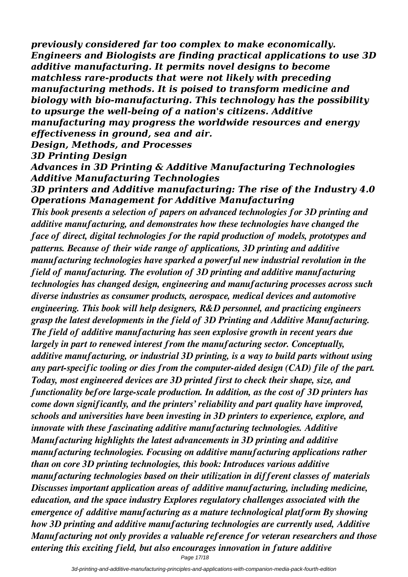*previously considered far too complex to make economically. Engineers and Biologists are finding practical applications to use 3D additive manufacturing. It permits novel designs to become matchless rare-products that were not likely with preceding manufacturing methods. It is poised to transform medicine and biology with bio-manufacturing. This technology has the possibility to upsurge the well-being of a nation's citizens. Additive manufacturing may progress the worldwide resources and energy effectiveness in ground, sea and air.*

*Design, Methods, and Processes*

*3D Printing Design*

*Advances in 3D Printing & Additive Manufacturing Technologies Additive Manufacturing Technologies*

*3D printers and Additive manufacturing: The rise of the Industry 4.0 Operations Management for Additive Manufacturing*

*This book presents a selection of papers on advanced technologies for 3D printing and additive manufacturing, and demonstrates how these technologies have changed the face of direct, digital technologies for the rapid production of models, prototypes and patterns. Because of their wide range of applications, 3D printing and additive manufacturing technologies have sparked a powerful new industrial revolution in the field of manufacturing. The evolution of 3D printing and additive manufacturing technologies has changed design, engineering and manufacturing processes across such diverse industries as consumer products, aerospace, medical devices and automotive engineering. This book will help designers, R&D personnel, and practicing engineers grasp the latest developments in the field of 3D Printing and Additive Manufacturing. The field of additive manufacturing has seen explosive growth in recent years due largely in part to renewed interest from the manufacturing sector. Conceptually, additive manufacturing, or industrial 3D printing, is a way to build parts without using any part-specific tooling or dies from the computer-aided design (CAD) file of the part. Today, most engineered devices are 3D printed first to check their shape, size, and functionality before large-scale production. In addition, as the cost of 3D printers has come down significantly, and the printers' reliability and part quality have improved, schools and universities have been investing in 3D printers to experience, explore, and innovate with these fascinating additive manufacturing technologies. Additive Manufacturing highlights the latest advancements in 3D printing and additive manufacturing technologies. Focusing on additive manufacturing applications rather than on core 3D printing technologies, this book: Introduces various additive manufacturing technologies based on their utilization in different classes of materials Discusses important application areas of additive manufacturing, including medicine, education, and the space industry Explores regulatory challenges associated with the emergence of additive manufacturing as a mature technological platform By showing how 3D printing and additive manufacturing technologies are currently used, Additive Manufacturing not only provides a valuable reference for veteran researchers and those entering this exciting field, but also encourages innovation in future additive*

Page 17/18